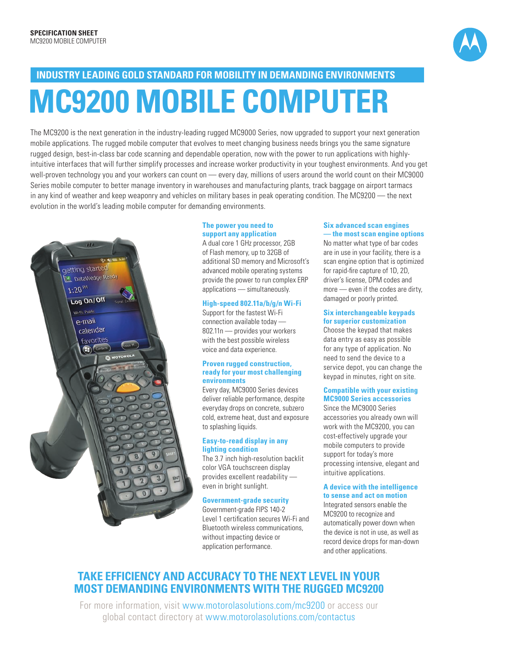

# **MC9200 MOBILE COMPUTER INDUSTRY LEADING GOLD STANDARD FOR MOBILITY IN DEMANDING ENVIRONMENTS**

The MC9200 is the next generation in the industry-leading rugged MC9000 Series, now upgraded to support your next generation mobile applications. The rugged mobile computer that evolves to meet changing business needs brings you the same signature rugged design, best-in-class bar code scanning and dependable operation, now with the power to run applications with highlyintuitive interfaces that will further simplify processes and increase worker productivity in your toughest environments. And you get well-proven technology you and your workers can count on — every day, millions of users around the world count on their MC9000 Series mobile computer to better manage inventory in warehouses and manufacturing plants, track baggage on airport tarmacs in any kind of weather and keep weaponry and vehicles on military bases in peak operating condition. The MC9200 — the next evolution in the world's leading mobile computer for demanding environments.



#### **The power you need to support any application**

A dual core 1 GHz processor, 2GB of Flash memory, up to 32GB of additional SD memory and Microsoft's advanced mobile operating systems provide the power to run complex ERP applications — simultaneously.

#### **High-speed 802.11a/b/g/n Wi-Fi**

Support for the fastest Wi-Fi connection available today — 802.11n — provides your workers with the best possible wireless voice and data experience.

#### **Proven rugged construction, ready for your most challenging environments**

Every day, MC9000 Series devices deliver reliable performance, despite everyday drops on concrete, subzero cold, extreme heat, dust and exposure to splashing liquids.

#### **Easy-to-read display in any lighting condition**

The 3.7 inch high-resolution backlit color VGA touchscreen display provides excellent readability even in bright sunlight.

#### **Government-grade security**

Government-grade FIPS 140-2 Level 1 certification secures Wi-Fi and Bluetooth wireless communications, without impacting device or application performance.

#### **Six advanced scan engines — the most scan engine options**

No matter what type of bar codes are in use in your facility, there is a scan engine option that is optimized for rapid-fire capture of 1D, 2D, driver's license, DPM codes and more — even if the codes are dirty, damaged or poorly printed.

#### **Six interchangeable keypads for superior customization**

Choose the keypad that makes data entry as easy as possible for any type of application. No need to send the device to a service depot, you can change the keypad in minutes, right on site.

#### **Compatible with your existing MC9000 Series accessories**

Since the MC9000 Series accessories you already own will work with the MC9200, you can cost-effectively upgrade your mobile computers to provide support for today's more processing intensive, elegant and intuitive applications.

#### **A device with the intelligence to sense and act on motion**

Integrated sensors enable the MC9200 to recognize and automatically power down when the device is not in use, as well as record device drops for man-down and other applications.

### **TAKE EFFICIENCY AND ACCURACY TO THE NEXT LEVEL IN YOUR MOST DEMANDING ENVIRONMENTS WITH THE RUGGED MC9200**

For more information, visit www.motorolasolutions.com/mc9200 or access our global contact directory at www.motorolasolutions.com/contactus